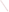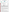#### **THE ENVIRONMENTAL TECHNOLOGY VERIFICATION PROGRAM**

ETV





# **ETV Joint Verification Statement**

| <b>TECHNOLOGY TYPE: Atrazine Test Kit</b> |                                                                                          |  |  |  |
|-------------------------------------------|------------------------------------------------------------------------------------------|--|--|--|
| <b>APPLICATION:</b>                       | ANALYSIS OF ATRAZINE IN WATER                                                            |  |  |  |
| <b>TECHNOLOGY NAME: Atrazine Tube Kit</b> |                                                                                          |  |  |  |
| <b>COMPANY:</b>                           | <b>Beacon Analytical Systems, Inc.</b>                                                   |  |  |  |
| <b>ADDRESS:</b>                           | PHONE: 207-761-2199<br>383 Presumpscot St.<br>Portland, ME 04103<br>207-761-9238<br>FAX: |  |  |  |
| <b>WEB SITE:</b><br><b>EMAIL:</b>         | www.beaconkits.com<br>brains@beaconkits.com                                              |  |  |  |

The U.S. Environmental Protection Agency (EPA) has created the Environmental Technology Verification (ETV) Program to facilitate the deployment of innovative or improved environmental technologies through performance verification and dissemination of information. The goal of the ETV Program is to further environmental protection by accelerating the acceptance and use of improved and cost-effective technologies. ETV seeks to achieve this goal by providing high-quality, peer-reviewed data on technology performance to those involved in the design, distribution, financing, permitting, purchase, and use of environmental technologies. Information and ETV documents are available at www.epa.gov/etv.

ETV works in partnership with recognized standards and testing organizations; with stakeholder groups that consist of buyers, vendor organizations, and permitters; and with the full participation of individual technology developers. The program evaluates the performance of innovative technologies by developing test plans that are responsive to the needs of stakeholders, conducting field or laboratory tests (as appropriate), collecting and analyzing data, and preparing peer-reviewed reports. All evaluations are conducted in accordance with rigorous quality assurance (QA) protocols to ensure that data of known and adequate quality are generated and that the results are defensible.

The Advanced Monitoring Systems (AMS) Center, one of seven technology areas under ETV, is operated by Battelle in cooperation with EPA's National Exposure Research Laboratory. The AMS Center has recently evaluated the performance of test kits for the analysis of atrazine in water. This verification statement provides a summary of the test results for the Beacon Analytical Systems, Inc. Atrazine Tube Kit.

# **VERIFICATION TEST DESCRIPTION**

The Atrazine Tube Kit was verified in terms of its performance on the following parameters: accuracy, precision, linearity, method detection limit (MDL), cross-reactivity of hydroxylatrazine and desethyl atrazine, matrix interference effects, and rate of false positives/false negatives. Qualitative factors including ease of use, reliability, and sample throughput were also evaluated. All preparation and analyses were performed according to the manufacturer's recommended procedures. The verification test involved challenging the Atrazine Tube Kit with seven performance test (PT) samples and four types of environmental samples. The PT samples consisted of ASTM Type I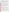water samples fortified with atrazine or an atrazine degradation product. Five of the PT samples contained atrazine at concentrations ranging from 0.1 to 5 parts per billion (ppb), and two of the samples contained 3 ppb of a crossreactive compound, but no atrazine. Four types of environmental samples also were analyzed: fresh pond water, brackish pond water, groundwater, and chlorinated drinking water. Environmental samples were filtered prior to test kit analysis. The background atrazine concentration in each environmental sample was less than 0.062 ppb. Each environmental sample was fortified in the laboratory at concentrations of 1 ppb and 3 ppb atrazine. All laboratoryfortified samples were prepared using certified, commercially available standards. All samples were analyzed by the Atrazine Tube Kit and by gas chromatography/mass spectrometry (GC/MS) according to modified EPA Method 525.2. Each sample was analyzed in triplicate using the test kit (seven replicates of the MDL sample were analyzed). Samples were given to the analyst blind and in random order.

The verification test was conducted in September 2003 at the Battelle laboratory in Duxbury, Massachusetts. Environmental samples were provided by the National Oceanic and Atmospheric Administration, National Ocean Service's Center for Coastal Environmental Health and Biomolecular Research Center at Charleston, and the University of Missouri - Rolla. Reference laboratory analyses were provided by the EPA's Office of Pesticide Programs, Environmental Chemistry Branch at the John C. Stennis Space Center. Test kit analyses were conducted by the Texas Commission on Environmental Quality.

The Atrazine Tube Kit and reference method results were used to assess accuracy and linearity. Replicate sample results were used to assess precision. Results for replicates of a low-level spiked sample were used to evaluate the MDL. Cross-reactivity of hydroxyatrazine and desethyl atrazine were assessed by evaluating the Atrazine Tube Kit results for samples that contained only one degradation compound, but not atrazine. Potential matrix effects were assessed by comparing accuracy and precision results for environmental samples (i.e., chlorinated drinking water, fresh surface water, brackish surface water, and groundwater) to those for ASTM Type I water samples. Performance parameters, such as ease of use and reliability, were based on documented observations of the analyst. Sample throughput was estimated based on the time required to analyze a sample set. QA oversight of verification testing was provided by Battelle and EPA. Battelle QA staff conducted a data quality audit of 10% of the test data, a performance evaluation audit, and a technical systems audit of the procedures used in this verification. This verification statement, the full report on which it is based, and the test/QA plan for this verification are all available at www.epa.gov/etv/centers/center1.html.

### **TECHNOLOGY DESCRIPTION**

The following description of the Atrazine Tube Kit is based on information provided by the vendor. This information was not verified in this test. The Atrazine Tube Kit is an immunological test for measuring atrazine residues in water. It uses polyclonal antibodies that bind both atrazine and an atrazine-enzyme conjugate. Atrazine in the sample competes with atrazine-enzyme conjugate for a limited number of antibody binding sites. Antibodies, which bind atrazine, are immobilized to the inside of the test tubes. The assay procedure involves (1) adding samples and calibrators containing known amounts of atrazine and an atrazine- enzyme conjugate to test tubes coated with antiatrazine antibodies; (2) incubating the mixture for 20 minutes, and washing away unbound molecules; and (3) adding clear substrate solution to each tube. Bound atrazine-enzyme conjugate converts the substrate to a blue compound. One enzyme molecule can convert many substrate molecules.

Since the same number of antibody binding sites are available in each tube and each tube receives the same number of atrazine-enzyme conjugate molecules, a low concentration of atrazine in a sample allows the antibody to bind many atrazine-enzyme conjugate molecules. The result is a dark blue solution. Conversely, a high concentration of atrazine allows fewer atrazine-enzyme conjugate molecules to be bound by the antibodies, resulting in a lighter blue solution. Absorbance of test tubes at 450 nanometers is measured in a photometer specifically designed for 12- x 75-millimeter tubes. The calibration range of the test kit is 0.05 ppb to 5 ppb atrazine. The vendor-stated detection limit of the test kit is 0.05 ppb atrazine. The Atrazine Tube Kit contains two vacuum-packed foil bags, each containing 20 polystyrene test tubes coated with anti-atrazine antibodies and color-indicating dessicant; one vial each of three atrazine calibrators; and one vial each of negative control (0.0 ppb atrazine), assay control (exact value range printed on vial), atrazine-horseradish peroxidase enzyme conjugate, substrate, and stop solution. The Atrazine Tube Kit costs \$200 per 40 tubes.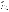Other materials that are required but not provided with the Atrazine Tube Kit are the photometer, a watch or timer, wash bottle containing tap or deionized water, a 500 µL pipette with disposable tips, and a test tube rack that will retain the test tubes when inverted. These materials can be purchased separately from the vendor.

## **VERIFICATION OF PERFORMANCE**

Quantitative performance results for all parameters except ease of use, reliability, and sample throughput are summarized in the following table:

| <b>Parameter</b>                                                                                                                                                                                                                                       | <b>Performance Results</b>                                                                                                                                                           | <b>Comments</b>                                                                                                                                                                                                                                                         |
|--------------------------------------------------------------------------------------------------------------------------------------------------------------------------------------------------------------------------------------------------------|--------------------------------------------------------------------------------------------------------------------------------------------------------------------------------------|-------------------------------------------------------------------------------------------------------------------------------------------------------------------------------------------------------------------------------------------------------------------------|
| Accuracy (percent recovery)<br>PT samples, $0.1 - 5$ ppb atrazine<br>Environmental samples: 1 ppb and<br>3 ppb atrazine-fortified, respectively:<br>Fresh pond water<br>Brackish pond water<br>Groundwater<br>Chlorinated drinking water               | 82% - 133%; average 101%<br>86% and 75%<br>171% and 129%<br>94% and 83%<br>135% and 87%                                                                                              | Background atrazine<br>concentrations in all<br>environmental samples<br>were < 0.062 ppb. 135%<br>recovery in chlorinated<br>drinking water $+1$ ppb<br>atrazine sample due to low<br>reference method result                                                          |
| Precision (relative standard deviation)<br>PT samples, $0.1 - 5$ ppb atrazine and<br>cross-reactivity samples<br>Environmental samples: 1 ppb and<br>3 ppb atrazine-fortified, respectively:<br>Fresh pond water<br>Brackish pond water<br>Groundwater | 5.0% - 25.4%; average 15.9%<br>8.7% and 12.7%<br>16.4% and 12.0%<br>22.8% and 3.9%                                                                                                   | $(0.79$ ppb).                                                                                                                                                                                                                                                           |
| Chlorinated drinking water                                                                                                                                                                                                                             | 9.8% and 14.5%                                                                                                                                                                       |                                                                                                                                                                                                                                                                         |
| Linearity<br>Slope of regression equation<br>y-intercept<br>Correlation coefficient (r)<br><b>MDL</b><br>Cross-reactivity                                                                                                                              | 0.81<br>0.24<br>0.9575<br>ND                                                                                                                                                         | Results for PT samples<br>from $0.1$ ppb to 5 ppb<br>atrazine used to assess<br>linearity.<br>Atrazine was not detected<br>in the MDL sample<br>(ASTM Type I water<br>spiked with 0.1 ppb<br>atrazine), so MDL could<br>not be determined<br>according to test/QA plan. |
| 3 ppb hydroxyatrazine                                                                                                                                                                                                                                  | Average result $<0.05$ ppb atrazine                                                                                                                                                  | Cross-reactivity samples                                                                                                                                                                                                                                                |
| 3 ppb desethyl atrazine<br>Matrix interference effects                                                                                                                                                                                                 | Average result 0.11 ppb atrazine<br>171% and 129% average<br>recoveries for atrazine-fortified<br>brackish pond water samples<br>compared to 101% average<br>recovery for PT samples | did not contain atrazine.<br>Positive bias observed in<br>brackish pond water<br>sample results.                                                                                                                                                                        |
| False positive results                                                                                                                                                                                                                                 | 6 out of 38 results                                                                                                                                                                  | Evaluated relative to 0.1<br>ppb atrazine. Three of the<br>six false positive results<br>associated with a sample<br>containing an atrazine<br>degradation product.                                                                                                     |
| False negative results                                                                                                                                                                                                                                 | None                                                                                                                                                                                 | Evaluated relative to 0.1<br>ppb atrazine. Three of<br>these results associated<br>with a sample containing<br>an atrazine degradation<br>product.                                                                                                                      |